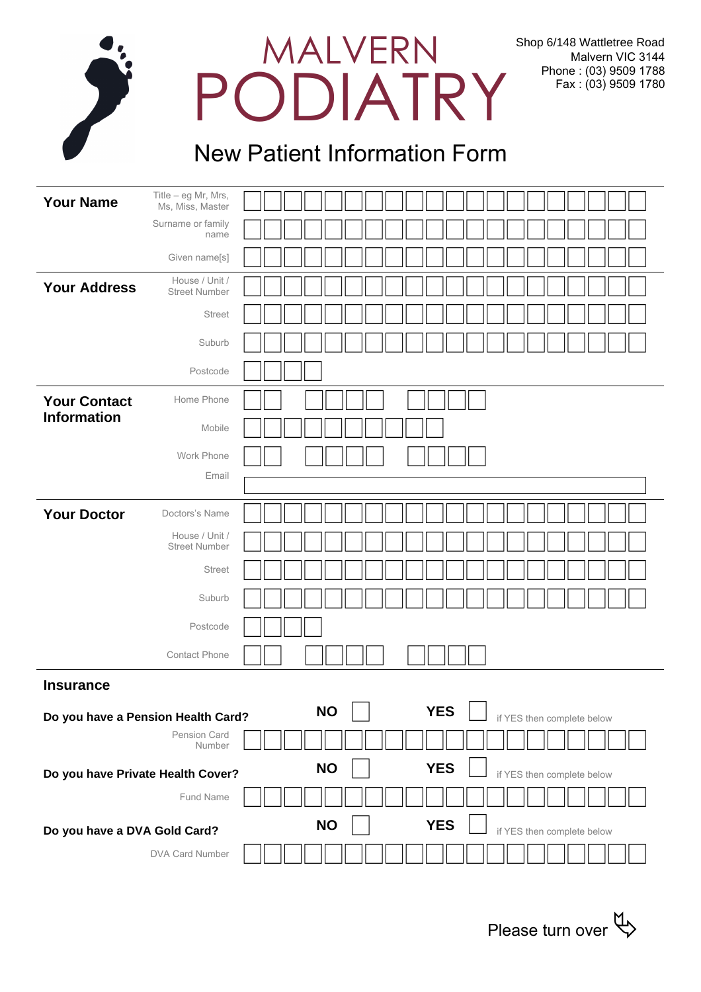| PODIATRY |
|----------|
|          |
|          |

## New Patient Information Form

| <b>Your Name</b>                   | Title - eg Mr, Mrs,<br>Ms, Miss, Master |                                                       |
|------------------------------------|-----------------------------------------|-------------------------------------------------------|
|                                    | Surname or family<br>name               |                                                       |
|                                    | Given name[s]                           |                                                       |
| <b>Your Address</b>                | House / Unit /<br><b>Street Number</b>  |                                                       |
|                                    | <b>Street</b>                           |                                                       |
|                                    | Suburb                                  |                                                       |
|                                    | Postcode                                |                                                       |
| <b>Your Contact</b>                | Home Phone                              |                                                       |
| <b>Information</b>                 | Mobile                                  |                                                       |
|                                    | Work Phone                              |                                                       |
|                                    | Email                                   |                                                       |
| <b>Your Doctor</b>                 | Doctors's Name                          |                                                       |
|                                    | House / Unit /<br><b>Street Number</b>  |                                                       |
|                                    | <b>Street</b>                           |                                                       |
|                                    | Suburb                                  |                                                       |
|                                    | Postcode                                |                                                       |
|                                    | Contact Phone                           |                                                       |
| <b>Insurance</b>                   |                                         |                                                       |
| Do you have a Pension Health Card? |                                         | <b>YES</b><br><b>NO</b><br>if YES then complete below |
|                                    | Pension Card<br>Number                  |                                                       |
| Do you have Private Health Cover?  |                                         | <b>YES</b><br><b>NO</b><br>if YES then complete below |
|                                    | Fund Name                               |                                                       |
| Do you have a DVA Gold Card?       |                                         | <b>YES</b><br><b>NO</b><br>if YES then complete below |
|                                    | DVA Card Number                         |                                                       |